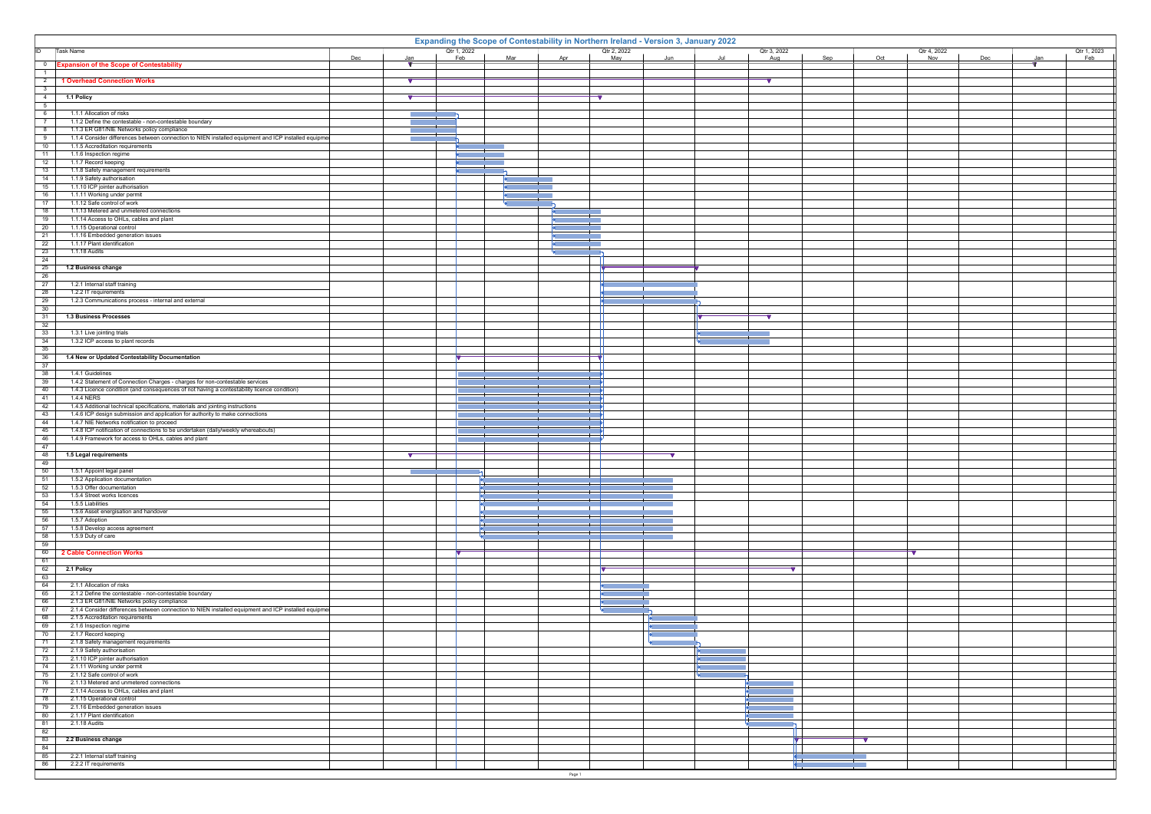|                                              | Expanding the Scope of Contestability in Northern Ireland - Version 3, January 2022                                                                             |                           |        |                                                                   |                                                                                                                                                                                                                                                               |                                                                                                                                 |                   |             |     |     |             |  |  |  |
|----------------------------------------------|-----------------------------------------------------------------------------------------------------------------------------------------------------------------|---------------------------|--------|-------------------------------------------------------------------|---------------------------------------------------------------------------------------------------------------------------------------------------------------------------------------------------------------------------------------------------------------|---------------------------------------------------------------------------------------------------------------------------------|-------------------|-------------|-----|-----|-------------|--|--|--|
| ID                                           | Task Name                                                                                                                                                       | Qtr 1, 2022<br>Mar<br>Feb | Apr    | Qtr 2, 2022<br>May                                                |                                                                                                                                                                                                                                                               | Qtr 3, 2022                                                                                                                     |                   | Qtr 4, 2022 |     |     | Qtr 1, 2023 |  |  |  |
| $\overline{\mathbf{0}}$                      | Dec<br>Jan<br><b>Expansion of the Scope of Contestability</b><br>V.                                                                                             |                           |        |                                                                   | Jun                                                                                                                                                                                                                                                           | Aug                                                                                                                             | Sep               | Oct<br>Nov  | Dec | Jan | Feb         |  |  |  |
| $\overline{1}$                               |                                                                                                                                                                 |                           |        |                                                                   |                                                                                                                                                                                                                                                               |                                                                                                                                 |                   |             |     |     |             |  |  |  |
| $\overline{2}$                               | <b>1 Overhead Connection Works</b><br>$\sqrt{}$                                                                                                                 |                           |        |                                                                   |                                                                                                                                                                                                                                                               |                                                                                                                                 |                   |             |     |     |             |  |  |  |
| $\overline{\phantom{a}3}$<br>$\overline{4}$  | 1.1 Policy<br>$\sqrt{ }$                                                                                                                                        |                           |        |                                                                   |                                                                                                                                                                                                                                                               |                                                                                                                                 |                   |             |     |     |             |  |  |  |
| $-5$                                         |                                                                                                                                                                 |                           |        |                                                                   |                                                                                                                                                                                                                                                               |                                                                                                                                 |                   |             |     |     |             |  |  |  |
| 6                                            | 1.1.1 Allocation of risks<br><b>The Co</b>                                                                                                                      |                           |        |                                                                   |                                                                                                                                                                                                                                                               |                                                                                                                                 |                   |             |     |     |             |  |  |  |
| $\overline{7}$<br>$\overline{\phantom{0}}$ 8 | 1.1.2 Define the contestable - non-contestable boundary<br>1.1.3 ER G81/NIE Networks policy compliance                                                          |                           |        |                                                                   |                                                                                                                                                                                                                                                               |                                                                                                                                 |                   |             |     |     |             |  |  |  |
| 9                                            | 1.1.4 Consider differences between connection to NIEN installed equipment and ICP installed equipme<br><b>Contractor</b>                                        |                           |        |                                                                   |                                                                                                                                                                                                                                                               |                                                                                                                                 |                   |             |     |     |             |  |  |  |
| 10                                           | 1.1.5 Accreditation requirements                                                                                                                                |                           |        |                                                                   |                                                                                                                                                                                                                                                               |                                                                                                                                 |                   |             |     |     |             |  |  |  |
| 11                                           | 1.1.6 Inspection regime                                                                                                                                         |                           |        |                                                                   |                                                                                                                                                                                                                                                               |                                                                                                                                 |                   |             |     |     |             |  |  |  |
| 12<br>13                                     | 1.1.7 Record keeping<br>1.1.8 Safety management requirements                                                                                                    |                           |        |                                                                   |                                                                                                                                                                                                                                                               |                                                                                                                                 |                   |             |     |     |             |  |  |  |
| 14                                           | 1.1.9 Safety authorisation                                                                                                                                      |                           |        |                                                                   |                                                                                                                                                                                                                                                               |                                                                                                                                 |                   |             |     |     |             |  |  |  |
| $\overline{15}$                              | 1.1.10 ICP jointer authorisation                                                                                                                                |                           |        |                                                                   |                                                                                                                                                                                                                                                               |                                                                                                                                 |                   |             |     |     |             |  |  |  |
| 16<br>17                                     | 1.1.11 Working under permit<br>1.1.12 Safe control of work                                                                                                      |                           |        |                                                                   |                                                                                                                                                                                                                                                               |                                                                                                                                 |                   |             |     |     |             |  |  |  |
| 18                                           | 1.1.13 Metered and unmetered connections                                                                                                                        |                           |        |                                                                   |                                                                                                                                                                                                                                                               |                                                                                                                                 |                   |             |     |     |             |  |  |  |
| 19                                           | 1.1.14 Access to OHLs, cables and plant                                                                                                                         |                           |        |                                                                   |                                                                                                                                                                                                                                                               |                                                                                                                                 |                   |             |     |     |             |  |  |  |
| $\overline{20}$<br>$\overline{21}$           | 1.1.15 Operational control<br>1.1.16 Embedded generation issues                                                                                                 |                           |        |                                                                   |                                                                                                                                                                                                                                                               |                                                                                                                                 |                   |             |     |     |             |  |  |  |
| $\overline{22}$                              | 1.1.17 Plant identification                                                                                                                                     |                           |        |                                                                   |                                                                                                                                                                                                                                                               |                                                                                                                                 |                   |             |     |     |             |  |  |  |
| 23                                           | 1.1.18 Audits                                                                                                                                                   |                           |        |                                                                   |                                                                                                                                                                                                                                                               |                                                                                                                                 |                   |             |     |     |             |  |  |  |
| $\overline{24}$<br>25                        |                                                                                                                                                                 |                           |        |                                                                   |                                                                                                                                                                                                                                                               |                                                                                                                                 |                   |             |     |     |             |  |  |  |
| $\overline{26}$                              | 1.2 Business change                                                                                                                                             |                           |        |                                                                   |                                                                                                                                                                                                                                                               |                                                                                                                                 |                   |             |     |     |             |  |  |  |
| $\overline{27}$                              | 1.2.1 Internal staff training                                                                                                                                   |                           |        |                                                                   |                                                                                                                                                                                                                                                               |                                                                                                                                 |                   |             |     |     |             |  |  |  |
| $\overline{28}$                              | 1.2.2 IT requirements                                                                                                                                           |                           |        |                                                                   |                                                                                                                                                                                                                                                               |                                                                                                                                 |                   |             |     |     |             |  |  |  |
| $\overline{29}$<br>30                        | 1.2.3 Communications process - internal and external                                                                                                            |                           |        |                                                                   |                                                                                                                                                                                                                                                               |                                                                                                                                 |                   |             |     |     |             |  |  |  |
| 31                                           | 1.3 Business Processes                                                                                                                                          |                           |        |                                                                   |                                                                                                                                                                                                                                                               | ↽                                                                                                                               |                   |             |     |     |             |  |  |  |
| 32                                           |                                                                                                                                                                 |                           |        |                                                                   |                                                                                                                                                                                                                                                               |                                                                                                                                 |                   |             |     |     |             |  |  |  |
| $\overline{33}$<br>34                        | 1.3.1 Live jointing trials<br>1.3.2 ICP access to plant records                                                                                                 |                           |        |                                                                   |                                                                                                                                                                                                                                                               |                                                                                                                                 |                   |             |     |     |             |  |  |  |
| 35                                           |                                                                                                                                                                 |                           |        |                                                                   |                                                                                                                                                                                                                                                               |                                                                                                                                 |                   |             |     |     |             |  |  |  |
| 36                                           | 1.4 New or Updated Contestability Documentation                                                                                                                 |                           |        |                                                                   |                                                                                                                                                                                                                                                               |                                                                                                                                 |                   |             |     |     |             |  |  |  |
| 37<br>38                                     | 1.4.1 Guidelines                                                                                                                                                |                           |        |                                                                   |                                                                                                                                                                                                                                                               |                                                                                                                                 |                   |             |     |     |             |  |  |  |
| 39                                           | 1.4.2 Statement of Connection Charges - charges for non-contestable services                                                                                    |                           |        |                                                                   |                                                                                                                                                                                                                                                               |                                                                                                                                 |                   |             |     |     |             |  |  |  |
| 40                                           | 1.4.3 Licence condition (and consequences of not having a contestability licence condition)                                                                     |                           |        |                                                                   |                                                                                                                                                                                                                                                               |                                                                                                                                 |                   |             |     |     |             |  |  |  |
| $-41$                                        | 1.4.4 NERS                                                                                                                                                      |                           |        |                                                                   |                                                                                                                                                                                                                                                               |                                                                                                                                 |                   |             |     |     |             |  |  |  |
| 42<br>43                                     | 1.4.5 Additional technical specifications, materials and jointing instructions<br>1.4.6 ICP design submission and application for authority to make connections |                           |        |                                                                   |                                                                                                                                                                                                                                                               |                                                                                                                                 |                   |             |     |     |             |  |  |  |
| 44                                           | 1.4.7 NIE Networks notification to proceed                                                                                                                      |                           |        |                                                                   |                                                                                                                                                                                                                                                               |                                                                                                                                 |                   |             |     |     |             |  |  |  |
| 45<br>46                                     | 1.4.8 ICP notification of connections to be undertaken (daily/weekly whereabouts)<br>1.4.9 Framework for access to OHLs, cables and plant                       |                           |        |                                                                   |                                                                                                                                                                                                                                                               |                                                                                                                                 |                   |             |     |     |             |  |  |  |
| 47                                           |                                                                                                                                                                 |                           |        |                                                                   |                                                                                                                                                                                                                                                               |                                                                                                                                 |                   |             |     |     |             |  |  |  |
| 48                                           | 1.5 Legal requirements<br>$\sqrt{}$                                                                                                                             |                           |        |                                                                   |                                                                                                                                                                                                                                                               |                                                                                                                                 |                   |             |     |     |             |  |  |  |
| 49                                           |                                                                                                                                                                 |                           |        |                                                                   |                                                                                                                                                                                                                                                               |                                                                                                                                 |                   |             |     |     |             |  |  |  |
| 50<br>51                                     | 1.5.1 Appoint legal panel<br>1.5.2 Application documentation                                                                                                    |                           |        |                                                                   |                                                                                                                                                                                                                                                               |                                                                                                                                 |                   |             |     |     |             |  |  |  |
| 52                                           | 1.5.3 Offer documentation                                                                                                                                       |                           |        |                                                                   |                                                                                                                                                                                                                                                               |                                                                                                                                 |                   |             |     |     |             |  |  |  |
| 53                                           | 1.5.4 Street works licences                                                                                                                                     |                           |        |                                                                   |                                                                                                                                                                                                                                                               |                                                                                                                                 |                   |             |     |     |             |  |  |  |
| $\overline{54}$<br>$-55$                     | 1.5.5 Liabilities<br>1.5.6 Asset energisation and handover                                                                                                      |                           |        |                                                                   |                                                                                                                                                                                                                                                               |                                                                                                                                 |                   |             |     |     |             |  |  |  |
| 56                                           | 1.5.7 Adoption                                                                                                                                                  |                           |        |                                                                   |                                                                                                                                                                                                                                                               |                                                                                                                                 |                   |             |     |     |             |  |  |  |
| $-57$                                        | 1.5.8 Develop access agreement                                                                                                                                  |                           |        |                                                                   |                                                                                                                                                                                                                                                               |                                                                                                                                 |                   |             |     |     |             |  |  |  |
| 58<br>$-59$                                  | 1.5.9 Duty of care                                                                                                                                              |                           |        |                                                                   |                                                                                                                                                                                                                                                               |                                                                                                                                 |                   |             |     |     |             |  |  |  |
| 60                                           | 2 Cable Connection Works                                                                                                                                        |                           |        |                                                                   |                                                                                                                                                                                                                                                               |                                                                                                                                 |                   | Tν          |     |     |             |  |  |  |
| 61                                           |                                                                                                                                                                 |                           |        |                                                                   |                                                                                                                                                                                                                                                               |                                                                                                                                 |                   |             |     |     |             |  |  |  |
| 62<br>63                                     | 2.1 Policy                                                                                                                                                      |                           |        | $\overline{\mathbf{v}}$                                           |                                                                                                                                                                                                                                                               | ⇁                                                                                                                               |                   |             |     |     |             |  |  |  |
| 64                                           | 2.1.1 Allocation of risks                                                                                                                                       |                           |        | $\rightarrow$                                                     |                                                                                                                                                                                                                                                               |                                                                                                                                 |                   |             |     |     |             |  |  |  |
| 65                                           | 2.1.2 Define the contestable - non-contestable boundary                                                                                                         |                           |        | <b>Figure 1999</b>                                                |                                                                                                                                                                                                                                                               |                                                                                                                                 |                   |             |     |     |             |  |  |  |
| 66<br>67                                     | 2.1.3 ER G81/NIE Networks policy compliance<br>2.1.4 Consider differences between connection to NIEN installed equipment and ICP installed equipmer             |                           |        | $\blacktriangleright$ and $\blacktriangleright$<br><b>Service</b> |                                                                                                                                                                                                                                                               |                                                                                                                                 |                   |             |     |     |             |  |  |  |
| 68                                           | 2.1.5 Accreditation requirements                                                                                                                                |                           |        |                                                                   | $\mathbf{F}$ and the set of $\mathbf{F}$                                                                                                                                                                                                                      |                                                                                                                                 |                   |             |     |     |             |  |  |  |
| 69                                           | 2.1.6 Inspection regime                                                                                                                                         |                           |        |                                                                   | <b>All Contract Contract Contract</b>                                                                                                                                                                                                                         |                                                                                                                                 |                   |             |     |     |             |  |  |  |
| $\overline{70}$<br>71                        | 2.1.7 Record keeping<br>2.1.8 Safety management requirements                                                                                                    |                           |        |                                                                   | $\blacktriangleright$ and the set of $\blacktriangleright$<br><b>Programs</b>                                                                                                                                                                                 |                                                                                                                                 |                   |             |     |     |             |  |  |  |
| 72                                           | 2.1.9 Safety authorisation                                                                                                                                      |                           |        |                                                                   |                                                                                                                                                                                                                                                               |                                                                                                                                 |                   |             |     |     |             |  |  |  |
| 73                                           | 2.1.10 ICP jointer authorisation                                                                                                                                |                           |        |                                                                   | <b>All the contract of the contract of the contract</b>                                                                                                                                                                                                       |                                                                                                                                 |                   |             |     |     |             |  |  |  |
| 74<br>75                                     | 2.1.11 Working under permit<br>2.1.12 Safe control of work                                                                                                      |                           |        |                                                                   | $\blacktriangleright$ and the set of the set of the set of the set of the set of the set of the set of the set of the set of the set of the set of the set of the set of the set of the set of the set of the set of the set of the set of<br><b>Programs</b> |                                                                                                                                 |                   |             |     |     |             |  |  |  |
| 76                                           | 2.1.13 Metered and unmetered connections                                                                                                                        |                           |        |                                                                   |                                                                                                                                                                                                                                                               | $\mathcal{L}^{\text{max}}_{\text{max}}$ and $\mathcal{L}^{\text{max}}_{\text{max}}$ and $\mathcal{L}^{\text{max}}_{\text{max}}$ |                   |             |     |     |             |  |  |  |
| $\overline{77}$                              | 2.1.14 Access to OHLs, cables and plant                                                                                                                         |                           |        |                                                                   |                                                                                                                                                                                                                                                               |                                                                                                                                 |                   |             |     |     |             |  |  |  |
| 78<br>79                                     | 2.1.15 Operational control<br>2.1.16 Embedded generation issues                                                                                                 |                           |        |                                                                   |                                                                                                                                                                                                                                                               |                                                                                                                                 |                   |             |     |     |             |  |  |  |
| 80                                           | 2.1.17 Plant identification                                                                                                                                     |                           |        |                                                                   |                                                                                                                                                                                                                                                               |                                                                                                                                 |                   |             |     |     |             |  |  |  |
| 81                                           | 2.1.18 Audits                                                                                                                                                   |                           |        |                                                                   |                                                                                                                                                                                                                                                               |                                                                                                                                 |                   |             |     |     |             |  |  |  |
| 82<br>83                                     |                                                                                                                                                                 |                           |        |                                                                   |                                                                                                                                                                                                                                                               |                                                                                                                                 |                   |             |     |     |             |  |  |  |
| 84                                           | 2.2 Business change                                                                                                                                             |                           |        |                                                                   |                                                                                                                                                                                                                                                               |                                                                                                                                 | $\mathbf{\nabla}$ |             |     |     |             |  |  |  |
| 85                                           | 2.2.1 Internal staff training                                                                                                                                   |                           |        |                                                                   |                                                                                                                                                                                                                                                               |                                                                                                                                 |                   |             |     |     |             |  |  |  |
| 86                                           | 2.2.2 IT requirements                                                                                                                                           |                           |        |                                                                   |                                                                                                                                                                                                                                                               |                                                                                                                                 |                   |             |     |     |             |  |  |  |
|                                              |                                                                                                                                                                 |                           | Page 1 |                                                                   |                                                                                                                                                                                                                                                               |                                                                                                                                 |                   |             |     |     |             |  |  |  |